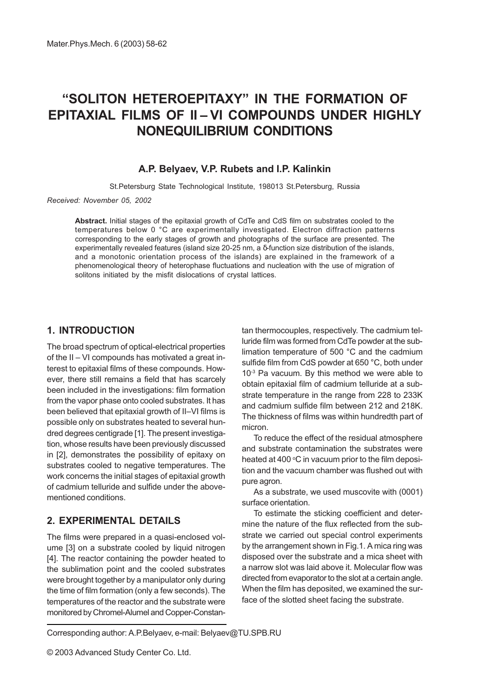# "SOLITON HETEROEPITAXY" IN THE FORMATION OF EPITAXIAL FILMS OF II-VI COMPOUNDS UNDER HIGHLY NONEQUILIBRIUM CONDITIONS

## A.P. Belyaev, V.P. Rubets and I.P. Kalinkin

St.Petersburg State Technological Institute, 198013 St.Petersburg, Russia

Received: November 05, 2002

Abstract. Initial stages of the epitaxial growth of CdTe and CdS film on substrates cooled to the temperatures below 0 °C are experimentally investigated. Electron diffraction patterns corresponding to the early stages of growth and photographs of the surface are presented. The experimentally revealed features (island size 20-25 nm, a δ-function size distribution of the islands, and a monotonic orientation process of the islands) are explained in the framework of a phenomenological theory of heterophase fluctuations and nucleation with the use of migration of solitons initiated by the misfit dislocations of crystal lattices.

# 1. INTRODUCTION

The broad spectrum of optical-electrical properties of the  $II - VI$  compounds has motivated a great interest to epitaxial films of these compounds. However, there still remains a field that has scarcely been included in the investigations: film formation from the vapor phase onto cooled substrates. It has been believed that epitaxial growth of II-VI films is possible only on substrates heated to several hundred degrees centigrade [1]. The present investigation, whose results have been previously discussed in [2], demonstrates the possibility of epitaxy on substrates cooled to negative temperatures. The work concerns the initial stages of epitaxial growth of cadmium telluride and sulfide under the abovementioned conditions.

# 2. EXPERIMENTAL DETAILS

The films were prepared in a quasi-enclosed volume [3] on a substrate cooled by liquid nitrogen [4]. The reactor containing the powder heated to the sublimation point and the cooled substrates were brought together by a manipulator only during the time of film formation (only a few seconds). The temperatures of the reactor and the substrate were monitored by Chromel-Alumel and Copper-Constantan thermocouples, respectively. The cadmium telluride film was formed from CdTe powder at the sublimation temperature of 500 °C and the cadmium sulfide film from CdS powder at 650 °C, both under 10-3 Pa vacuum. By this method we were able to obtain epitaxial film of cadmium telluride at a substrate temperature in the range from 228 to 233K and cadmium sulfide film between 212 and 218K. The thickness of films was within hundredth part of micron.

To reduce the effect of the residual atmosphere and substrate contamination the substrates were heated at 400 °C in vacuum prior to the film deposition and the vacuum chamber was flushed out with pure agron.

As a substrate, we used muscovite with (0001) surface orientation.

To estimate the sticking coefficient and determine the nature of the flux reflected from the substrate we carried out special control experiments by the arrangement shown in Fig.1. A mica ring was disposed over the substrate and a mica sheet with a narrow slot was laid above it. Molecular flow was directed from evaporator to the slot at a certain angle. When the film has deposited, we examined the surface of the slotted sheet facing the substrate.

Corresponding author: A.P.Belyaev, e-mail: Belyaev@TU.SPB.RU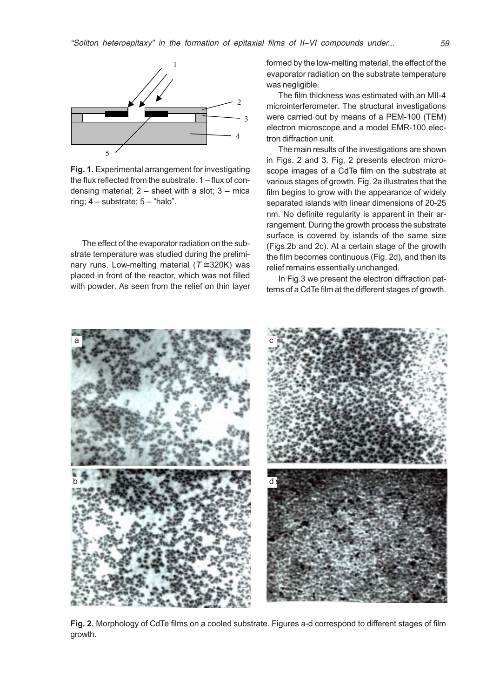

Fig. 1. Experimental arrangement for investigating the flux reflected from the substrate.  $1 -$  flux of condensing material;  $2 -$  sheet with a slot;  $3 -$  mica ring;  $4 -$  substrate;  $5 -$  "halo".

The effect of the evaporator radiation on the substrate temperature was studied during the preliminary runs. Low-melting material ( $T \approx 320$ K) was placed in front of the reactor, which was not filled with powder. As seen from the relief on thin layer formed by the low-melting material, the effect of the evaporator radiation on the substrate temperature was negligible.

The film thickness was estimated with an MII-4 microinterferometer. The structural investigations were carried out by means of a PEM-100 (TEM) electron microscope and a model EMR-100 electron diffraction unit.

The main results of the investigations are shown in Figs. 2 and 3. Fig. 2 presents electron microscope images of a CdTe film on the substrate at various stages of growth. Fig. 2a illustrates that the film begins to grow with the appearance of widely separated islands with linear dimensions of 20-25 nm. No definite regularity is apparent in their arrangement. During the growth process the substrate surface is covered by islands of the same size (Figs.2b and 2c). At a certain stage of the growth the film becomes continuous (Fig. 2d), and then its relief remains essentially unchanged.

In Fig.3 we present the electron diffraction patterns of a CdTe film at the different stages of growth.



Fig. 2. Morphology of CdTe films on a cooled substrate. Figures a-d correspond to different stages of film growth.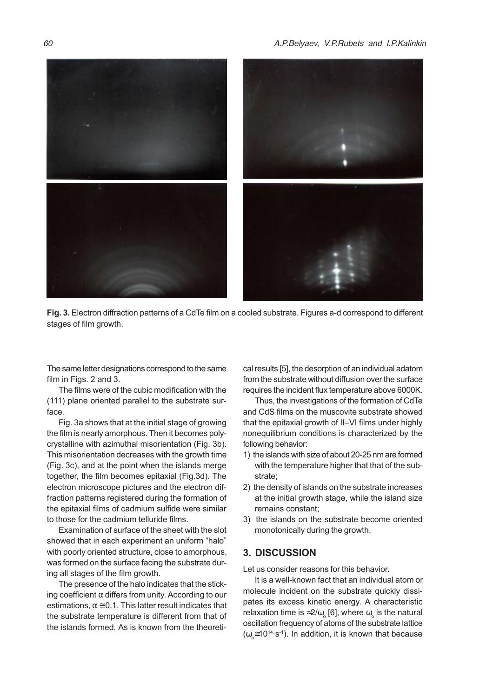

Fig. 3. Electron diffraction patterns of a CdTe film on a cooled substrate. Figures a-d correspond to different stages of film growth.

The same letter designations correspond to the same film in Figs. 2 and 3.

The films were of the cubic modification with the (111) plane oriented parallel to the substrate surface.

Fig. 3a shows that at the initial stage of growing the film is nearly amorphous. Then it becomes polycrystalline with azimuthal misorientation (Fig. 3b). This misorientation decreases with the growth time (Fig. 3c), and at the point when the islands merge together, the film becomes epitaxial (Fig.3d). The electron microscope pictures and the electron diffraction patterns registered during the formation of the epitaxial films of cadmium sulfide were similar to those for the cadmium telluride films.

Examination of surface of the sheet with the slot showed that in each experiment an uniform "halo" with poorly oriented structure, close to amorphous, was formed on the surface facing the substrate during all stages of the film growth.

The presence of the halo indicates that the sticking coefficient  $\alpha$  differs from unity. According to our estimations,  $\alpha \approx 0.1$ . This latter result indicates that the substrate temperature is different from that of the islands formed. As is known from the theoretical results [5], the desorption of an individual adatom from the substrate without diffusion over the surface requires the incident flux temperature above 6000K.

Thus, the investigations of the formation of CdTe and CdS films on the muscovite substrate showed that the epitaxial growth of II–VI films under highly nonequilibrium conditions is characterized by the following behavior:

- 1) the islands with size of about 20-25 nm are formed with the temperature higher that that of the substrate;
- 2) the density of islands on the substrate increases at the initial growth stage, while the island size remains constant;
- 3) the islands on the substrate become oriented monotonically during the growth.

#### 3. DISCUSSION

Let us consider reasons for this behavior.

It is a well-known fact that an individual atom or molecule incident on the substrate quickly dissipates its excess kinetic energy. A characteristic relaxation time is ≈2/ $\omega_\circ$  [6], where  $\omega_\circ$  is the natural oscillation frequency of atoms of the substrate lattice  $(\omega_{\text{o}} \cong 10^{14} \text{·s}^{-1})$ . In addition, it is known that because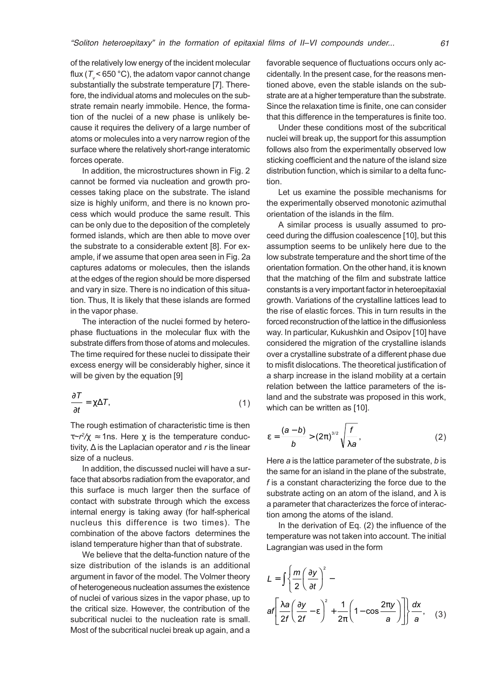of the relatively low energy of the incident molecular flux ( $T < 650$  °C), the adatom vapor cannot change substantially the substrate temperature [7]. Therefore, the individual atoms and molecules on the substrate remain nearly immobile. Hence, the formation of the nuclei of a new phase is unlikely because it requires the delivery of a large number of atoms or molecules into a very narrow region of the surface where the relatively short-range interatomic forces operate.

In addition, the microstructures shown in Fig. 2 cannot be formed via nucleation and growth processes taking place on the substrate. The island size is highly uniform, and there is no known process which would produce the same result. This can be only due to the deposition of the completely formed islands, which are then able to move over the substrate to a considerable extent [8]. For example, if we assume that open area seen in Fig. 2a captures adatoms or molecules, then the islands at the edges of the region should be more dispersed and vary in size. There is no indication of this situation. Thus, It is likely that these islands are formed in the vapor phase.

The interaction of the nuclei formed by heterophase fluctuations in the molecular flux with the substrate differs from those of atoms and molecules. The time required for these nuclei to dissipate their excess energy will be considerably higher, since it will be given by the equation [9]

$$
\frac{\partial T}{\partial t} = \chi \Delta T,\tag{1}
$$

The rough estimation of characteristic time is then  $\tau \sim r^2/\chi \approx 1$ ns. Here  $\chi$  is the temperature conductivity,  $\Delta$  is the Laplacian operator and r is the linear size of a nucleus.

In addition, the discussed nuclei will have a surface that absorbs radiation from the evaporator, and this surface is much larger then the surface of contact with substrate through which the excess internal energy is taking away (for half-spherical nucleus this difference is two times). The combination of the above factors determines the island temperature higher than that of substrate.

We believe that the delta-function nature of the size distribution of the islands is an additional argument in favor of the model. The Volmer theory of heterogeneous nucleation assumes the existence of nuclei of various sizes in the vapor phase, up to the critical size. However, the contribution of the subcritical nuclei to the nucleation rate is small. Most of the subcritical nuclei break up again, and a favorable sequence of fluctuations occurs only accidentally. In the present case, for the reasons mentioned above, even the stable islands on the substrate are at a higher temperature than the substrate. Since the relaxation time is finite, one can consider that this difference in the temperatures is finite too.

Under these conditions most of the subcritical nuclei will break up, the support for this assumption follows also from the experimentally observed low sticking coefficient and the nature of the island size distribution function, which is similar to a delta function.

Let us examine the possible mechanisms for the experimentally observed monotonic azimuthal orientation of the islands in the film.

A similar process is usually assumed to proceed during the diffusion coalescence [10], but this assumption seems to be unlikely here due to the low substrate temperature and the short time of the orientation formation. On the other hand, it is known that the matching of the film and substrate lattice constants is a very important factor in heteroepitaxial growth. Variations of the crystalline lattices lead to the rise of elastic forces. This in turn results in the forced reconstruction of the lattice in the diffusionless way. In particular, Kukushkin and Osipov [10] have considered the migration of the crystalline islands over a crystalline substrate of a different phase due to misfit dislocations. The theoretical justification of a sharp increase in the island mobility at a certain relation between the lattice parameters of the island and the substrate was proposed in this work, which can be written as [10].

$$
\varepsilon = \frac{(a-b)}{b} > (2\pi)^{3/2} \sqrt{\frac{f}{\lambda a}}, \qquad (2)
$$

Here  $a$  is the lattice parameter of the substrate,  $b$  is the same for an island in the plane of the substrate, f is a constant characterizing the force due to the substrate acting on an atom of the island, and  $\lambda$  is a parameter that characterizes the force of interaction among the atoms of the island.

In the derivation of Eq. (2) the influence of the temperature was not taken into account. The initial Lagrangian was used in the form

$$
L = \int \left\{ \frac{m}{2} \left( \frac{\partial y}{\partial t} \right)^2 - \right\} dt = \int \left\{ \frac{\lambda a}{2f} \left( \frac{\partial y}{2f} - \epsilon \right)^2 + \frac{1}{2\pi} \left( 1 - \cos \frac{2\pi y}{a} \right) \right\} \frac{dx}{a}, \quad (3)
$$